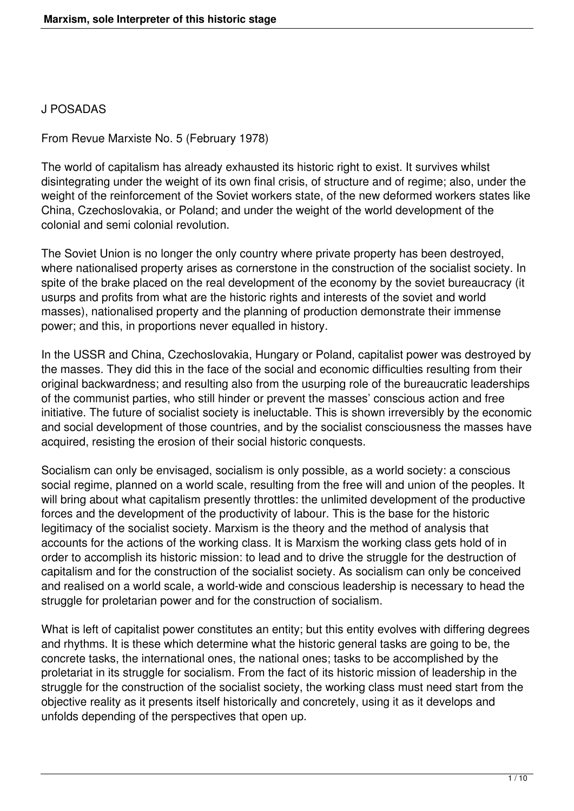## J POSADAS

From Revue Marxiste No. 5 (February 1978)

The world of capitalism has already exhausted its historic right to exist. It survives whilst disintegrating under the weight of its own final crisis, of structure and of regime; also, under the weight of the reinforcement of the Soviet workers state, of the new deformed workers states like China, Czechoslovakia, or Poland; and under the weight of the world development of the colonial and semi colonial revolution.

The Soviet Union is no longer the only country where private property has been destroyed, where nationalised property arises as cornerstone in the construction of the socialist society. In spite of the brake placed on the real development of the economy by the soviet bureaucracy (it usurps and profits from what are the historic rights and interests of the soviet and world masses), nationalised property and the planning of production demonstrate their immense power; and this, in proportions never equalled in history.

In the USSR and China, Czechoslovakia, Hungary or Poland, capitalist power was destroyed by the masses. They did this in the face of the social and economic difficulties resulting from their original backwardness; and resulting also from the usurping role of the bureaucratic leaderships of the communist parties, who still hinder or prevent the masses' conscious action and free initiative. The future of socialist society is ineluctable. This is shown irreversibly by the economic and social development of those countries, and by the socialist consciousness the masses have acquired, resisting the erosion of their social historic conquests.

Socialism can only be envisaged, socialism is only possible, as a world society: a conscious social regime, planned on a world scale, resulting from the free will and union of the peoples. It will bring about what capitalism presently throttles: the unlimited development of the productive forces and the development of the productivity of labour. This is the base for the historic legitimacy of the socialist society. Marxism is the theory and the method of analysis that accounts for the actions of the working class. It is Marxism the working class gets hold of in order to accomplish its historic mission: to lead and to drive the struggle for the destruction of capitalism and for the construction of the socialist society. As socialism can only be conceived and realised on a world scale, a world-wide and conscious leadership is necessary to head the struggle for proletarian power and for the construction of socialism.

What is left of capitalist power constitutes an entity; but this entity evolves with differing degrees and rhythms. It is these which determine what the historic general tasks are going to be, the concrete tasks, the international ones, the national ones; tasks to be accomplished by the proletariat in its struggle for socialism. From the fact of its historic mission of leadership in the struggle for the construction of the socialist society, the working class must need start from the objective reality as it presents itself historically and concretely, using it as it develops and unfolds depending of the perspectives that open up.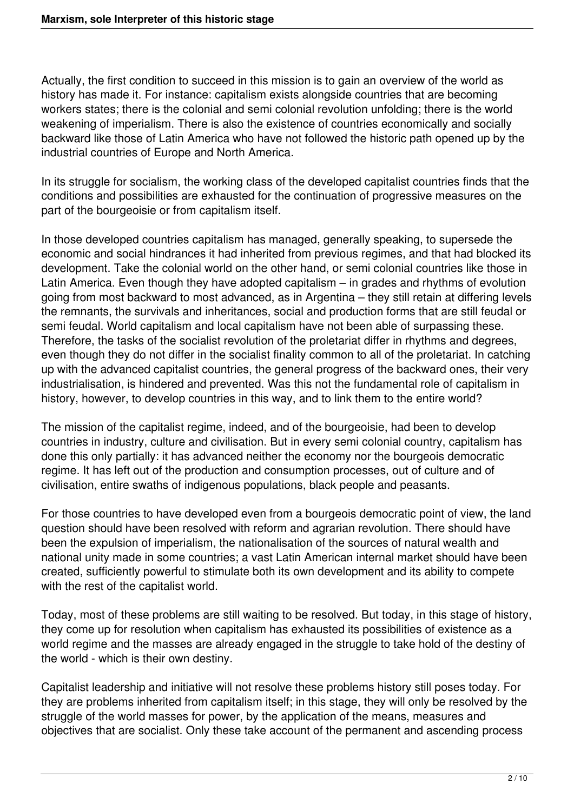Actually, the first condition to succeed in this mission is to gain an overview of the world as history has made it. For instance: capitalism exists alongside countries that are becoming workers states; there is the colonial and semi colonial revolution unfolding; there is the world weakening of imperialism. There is also the existence of countries economically and socially backward like those of Latin America who have not followed the historic path opened up by the industrial countries of Europe and North America.

In its struggle for socialism, the working class of the developed capitalist countries finds that the conditions and possibilities are exhausted for the continuation of progressive measures on the part of the bourgeoisie or from capitalism itself.

In those developed countries capitalism has managed, generally speaking, to supersede the economic and social hindrances it had inherited from previous regimes, and that had blocked its development. Take the colonial world on the other hand, or semi colonial countries like those in Latin America. Even though they have adopted capitalism – in grades and rhythms of evolution going from most backward to most advanced, as in Argentina – they still retain at differing levels the remnants, the survivals and inheritances, social and production forms that are still feudal or semi feudal. World capitalism and local capitalism have not been able of surpassing these. Therefore, the tasks of the socialist revolution of the proletariat differ in rhythms and degrees, even though they do not differ in the socialist finality common to all of the proletariat. In catching up with the advanced capitalist countries, the general progress of the backward ones, their very industrialisation, is hindered and prevented. Was this not the fundamental role of capitalism in history, however, to develop countries in this way, and to link them to the entire world?

The mission of the capitalist regime, indeed, and of the bourgeoisie, had been to develop countries in industry, culture and civilisation. But in every semi colonial country, capitalism has done this only partially: it has advanced neither the economy nor the bourgeois democratic regime. It has left out of the production and consumption processes, out of culture and of civilisation, entire swaths of indigenous populations, black people and peasants.

For those countries to have developed even from a bourgeois democratic point of view, the land question should have been resolved with reform and agrarian revolution. There should have been the expulsion of imperialism, the nationalisation of the sources of natural wealth and national unity made in some countries; a vast Latin American internal market should have been created, sufficiently powerful to stimulate both its own development and its ability to compete with the rest of the capitalist world.

Today, most of these problems are still waiting to be resolved. But today, in this stage of history, they come up for resolution when capitalism has exhausted its possibilities of existence as a world regime and the masses are already engaged in the struggle to take hold of the destiny of the world - which is their own destiny.

Capitalist leadership and initiative will not resolve these problems history still poses today. For they are problems inherited from capitalism itself; in this stage, they will only be resolved by the struggle of the world masses for power, by the application of the means, measures and objectives that are socialist. Only these take account of the permanent and ascending process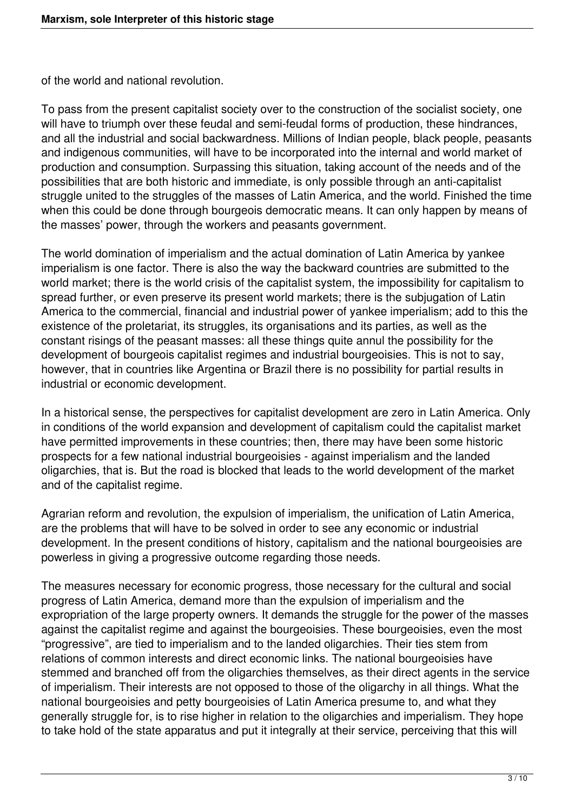of the world and national revolution.

To pass from the present capitalist society over to the construction of the socialist society, one will have to triumph over these feudal and semi-feudal forms of production, these hindrances, and all the industrial and social backwardness. Millions of Indian people, black people, peasants and indigenous communities, will have to be incorporated into the internal and world market of production and consumption. Surpassing this situation, taking account of the needs and of the possibilities that are both historic and immediate, is only possible through an anti-capitalist struggle united to the struggles of the masses of Latin America, and the world. Finished the time when this could be done through bourgeois democratic means. It can only happen by means of the masses' power, through the workers and peasants government.

The world domination of imperialism and the actual domination of Latin America by yankee imperialism is one factor. There is also the way the backward countries are submitted to the world market; there is the world crisis of the capitalist system, the impossibility for capitalism to spread further, or even preserve its present world markets; there is the subjugation of Latin America to the commercial, financial and industrial power of yankee imperialism; add to this the existence of the proletariat, its struggles, its organisations and its parties, as well as the constant risings of the peasant masses: all these things quite annul the possibility for the development of bourgeois capitalist regimes and industrial bourgeoisies. This is not to say, however, that in countries like Argentina or Brazil there is no possibility for partial results in industrial or economic development.

In a historical sense, the perspectives for capitalist development are zero in Latin America. Only in conditions of the world expansion and development of capitalism could the capitalist market have permitted improvements in these countries; then, there may have been some historic prospects for a few national industrial bourgeoisies - against imperialism and the landed oligarchies, that is. But the road is blocked that leads to the world development of the market and of the capitalist regime.

Agrarian reform and revolution, the expulsion of imperialism, the unification of Latin America, are the problems that will have to be solved in order to see any economic or industrial development. In the present conditions of history, capitalism and the national bourgeoisies are powerless in giving a progressive outcome regarding those needs.

The measures necessary for economic progress, those necessary for the cultural and social progress of Latin America, demand more than the expulsion of imperialism and the expropriation of the large property owners. It demands the struggle for the power of the masses against the capitalist regime and against the bourgeoisies. These bourgeoisies, even the most "progressive", are tied to imperialism and to the landed oligarchies. Their ties stem from relations of common interests and direct economic links. The national bourgeoisies have stemmed and branched off from the oligarchies themselves, as their direct agents in the service of imperialism. Their interests are not opposed to those of the oligarchy in all things. What the national bourgeoisies and petty bourgeoisies of Latin America presume to, and what they generally struggle for, is to rise higher in relation to the oligarchies and imperialism. They hope to take hold of the state apparatus and put it integrally at their service, perceiving that this will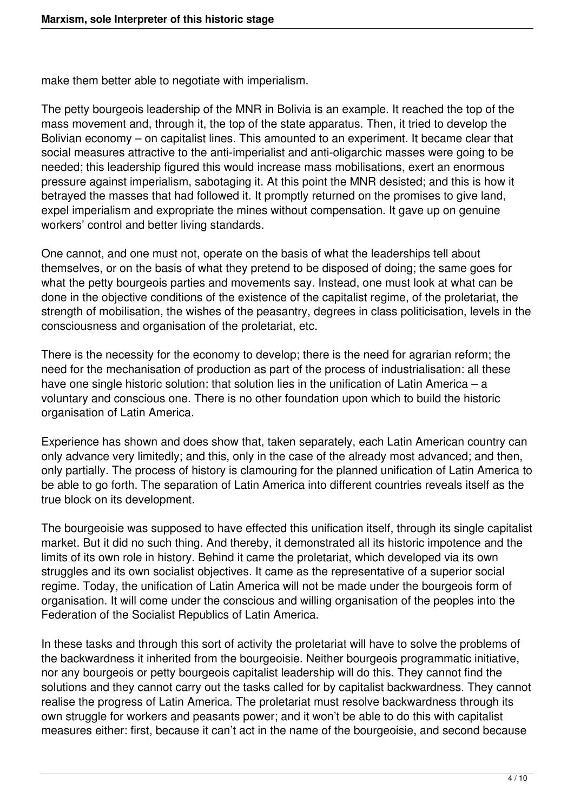make them better able to negotiate with imperialism.

The petty bourgeois leadership of the MNR in Bolivia is an example. It reached the top of the mass movement and, through it, the top of the state apparatus. Then, it tried to develop the Bolivian economy – on capitalist lines. This amounted to an experiment. It became clear that social measures attractive to the anti-imperialist and anti-oligarchic masses were going to be needed; this leadership figured this would increase mass mobilisations, exert an enormous pressure against imperialism, sabotaging it. At this point the MNR desisted; and this is how it betrayed the masses that had followed it. It promptly returned on the promises to give land, expel imperialism and expropriate the mines without compensation. It gave up on genuine workers' control and better living standards.

One cannot, and one must not, operate on the basis of what the leaderships tell about themselves, or on the basis of what they pretend to be disposed of doing; the same goes for what the petty bourgeois parties and movements say. Instead, one must look at what can be done in the objective conditions of the existence of the capitalist regime, of the proletariat, the strength of mobilisation, the wishes of the peasantry, degrees in class politicisation, levels in the consciousness and organisation of the proletariat, etc.

There is the necessity for the economy to develop; there is the need for agrarian reform; the need for the mechanisation of production as part of the process of industrialisation: all these have one single historic solution: that solution lies in the unification of Latin America – a voluntary and conscious one. There is no other foundation upon which to build the historic organisation of Latin America.

Experience has shown and does show that, taken separately, each Latin American country can only advance very limitedly; and this, only in the case of the already most advanced; and then, only partially. The process of history is clamouring for the planned unification of Latin America to be able to go forth. The separation of Latin America into different countries reveals itself as the true block on its development.

The bourgeoisie was supposed to have effected this unification itself, through its single capitalist market. But it did no such thing. And thereby, it demonstrated all its historic impotence and the limits of its own role in history. Behind it came the proletariat, which developed via its own struggles and its own socialist objectives. It came as the representative of a superior social regime. Today, the unification of Latin America will not be made under the bourgeois form of organisation. It will come under the conscious and willing organisation of the peoples into the Federation of the Socialist Republics of Latin America.

In these tasks and through this sort of activity the proletariat will have to solve the problems of the backwardness it inherited from the bourgeoisie. Neither bourgeois programmatic initiative, nor any bourgeois or petty bourgeois capitalist leadership will do this. They cannot find the solutions and they cannot carry out the tasks called for by capitalist backwardness. They cannot realise the progress of Latin America. The proletariat must resolve backwardness through its own struggle for workers and peasants power; and it won't be able to do this with capitalist measures either: first, because it can't act in the name of the bourgeoisie, and second because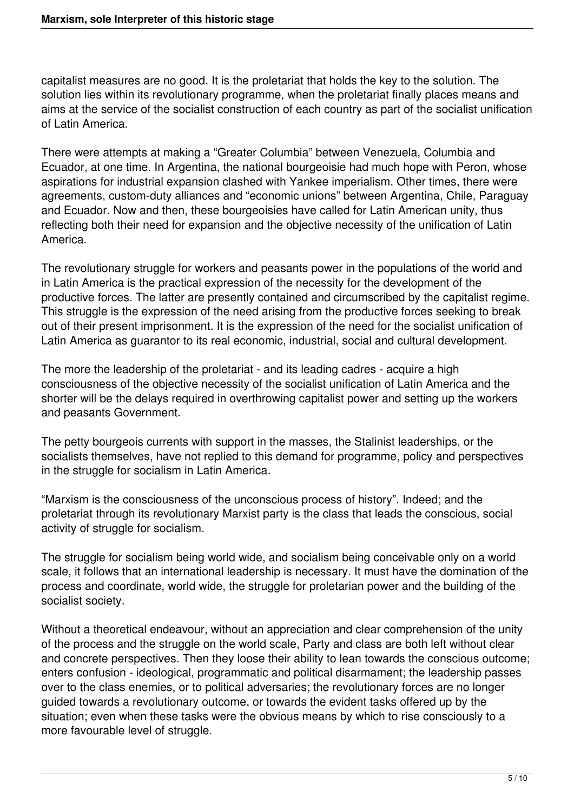capitalist measures are no good. It is the proletariat that holds the key to the solution. The solution lies within its revolutionary programme, when the proletariat finally places means and aims at the service of the socialist construction of each country as part of the socialist unification of Latin America.

There were attempts at making a "Greater Columbia" between Venezuela, Columbia and Ecuador, at one time. In Argentina, the national bourgeoisie had much hope with Peron, whose aspirations for industrial expansion clashed with Yankee imperialism. Other times, there were agreements, custom-duty alliances and "economic unions" between Argentina, Chile, Paraguay and Ecuador. Now and then, these bourgeoisies have called for Latin American unity, thus reflecting both their need for expansion and the objective necessity of the unification of Latin America.

The revolutionary struggle for workers and peasants power in the populations of the world and in Latin America is the practical expression of the necessity for the development of the productive forces. The latter are presently contained and circumscribed by the capitalist regime. This struggle is the expression of the need arising from the productive forces seeking to break out of their present imprisonment. It is the expression of the need for the socialist unification of Latin America as guarantor to its real economic, industrial, social and cultural development.

The more the leadership of the proletariat - and its leading cadres - acquire a high consciousness of the objective necessity of the socialist unification of Latin America and the shorter will be the delays required in overthrowing capitalist power and setting up the workers and peasants Government.

The petty bourgeois currents with support in the masses, the Stalinist leaderships, or the socialists themselves, have not replied to this demand for programme, policy and perspectives in the struggle for socialism in Latin America.

"Marxism is the consciousness of the unconscious process of history". Indeed; and the proletariat through its revolutionary Marxist party is the class that leads the conscious, social activity of struggle for socialism.

The struggle for socialism being world wide, and socialism being conceivable only on a world scale, it follows that an international leadership is necessary. It must have the domination of the process and coordinate, world wide, the struggle for proletarian power and the building of the socialist society.

Without a theoretical endeavour, without an appreciation and clear comprehension of the unity of the process and the struggle on the world scale, Party and class are both left without clear and concrete perspectives. Then they loose their ability to lean towards the conscious outcome; enters confusion - ideological, programmatic and political disarmament; the leadership passes over to the class enemies, or to political adversaries; the revolutionary forces are no longer guided towards a revolutionary outcome, or towards the evident tasks offered up by the situation; even when these tasks were the obvious means by which to rise consciously to a more favourable level of struggle.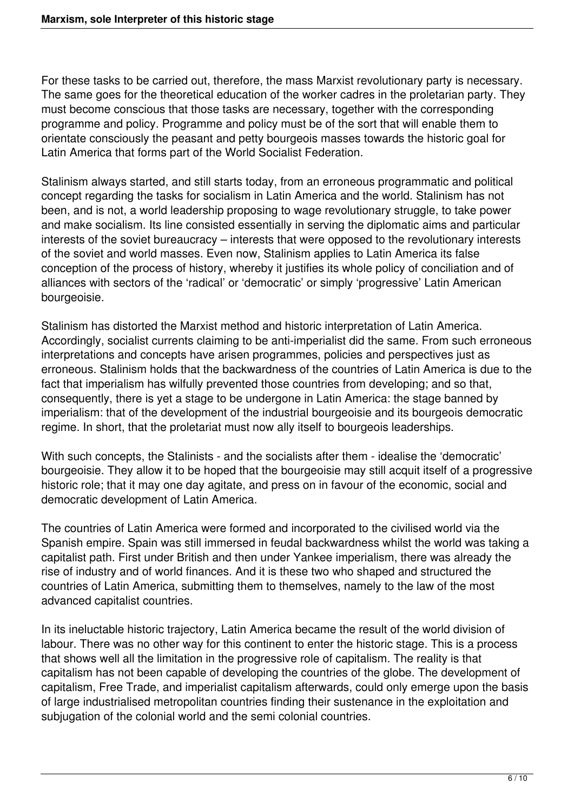For these tasks to be carried out, therefore, the mass Marxist revolutionary party is necessary. The same goes for the theoretical education of the worker cadres in the proletarian party. They must become conscious that those tasks are necessary, together with the corresponding programme and policy. Programme and policy must be of the sort that will enable them to orientate consciously the peasant and petty bourgeois masses towards the historic goal for Latin America that forms part of the World Socialist Federation.

Stalinism always started, and still starts today, from an erroneous programmatic and political concept regarding the tasks for socialism in Latin America and the world. Stalinism has not been, and is not, a world leadership proposing to wage revolutionary struggle, to take power and make socialism. Its line consisted essentially in serving the diplomatic aims and particular interests of the soviet bureaucracy – interests that were opposed to the revolutionary interests of the soviet and world masses. Even now, Stalinism applies to Latin America its false conception of the process of history, whereby it justifies its whole policy of conciliation and of alliances with sectors of the 'radical' or 'democratic' or simply 'progressive' Latin American bourgeoisie.

Stalinism has distorted the Marxist method and historic interpretation of Latin America. Accordingly, socialist currents claiming to be anti-imperialist did the same. From such erroneous interpretations and concepts have arisen programmes, policies and perspectives just as erroneous. Stalinism holds that the backwardness of the countries of Latin America is due to the fact that imperialism has wilfully prevented those countries from developing; and so that, consequently, there is yet a stage to be undergone in Latin America: the stage banned by imperialism: that of the development of the industrial bourgeoisie and its bourgeois democratic regime. In short, that the proletariat must now ally itself to bourgeois leaderships.

With such concepts, the Stalinists - and the socialists after them - idealise the 'democratic' bourgeoisie. They allow it to be hoped that the bourgeoisie may still acquit itself of a progressive historic role; that it may one day agitate, and press on in favour of the economic, social and democratic development of Latin America.

The countries of Latin America were formed and incorporated to the civilised world via the Spanish empire. Spain was still immersed in feudal backwardness whilst the world was taking a capitalist path. First under British and then under Yankee imperialism, there was already the rise of industry and of world finances. And it is these two who shaped and structured the countries of Latin America, submitting them to themselves, namely to the law of the most advanced capitalist countries.

In its ineluctable historic trajectory, Latin America became the result of the world division of labour. There was no other way for this continent to enter the historic stage. This is a process that shows well all the limitation in the progressive role of capitalism. The reality is that capitalism has not been capable of developing the countries of the globe. The development of capitalism, Free Trade, and imperialist capitalism afterwards, could only emerge upon the basis of large industrialised metropolitan countries finding their sustenance in the exploitation and subjugation of the colonial world and the semi colonial countries.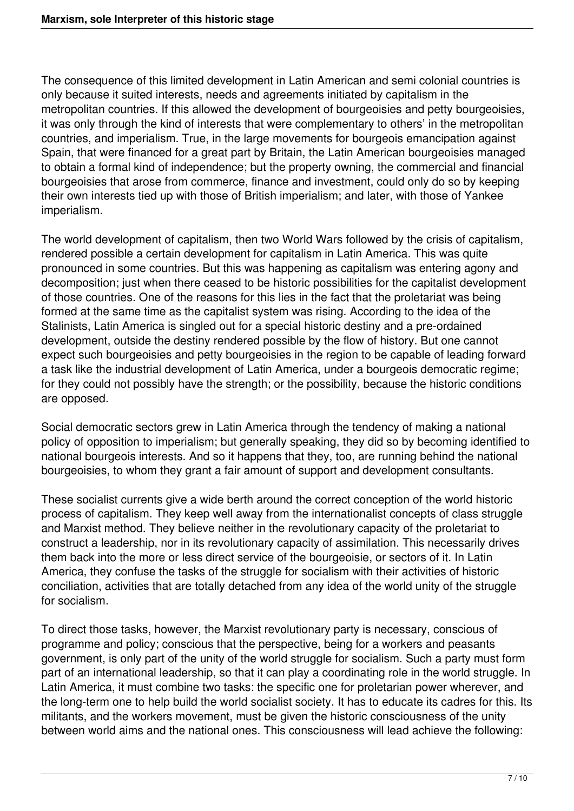The consequence of this limited development in Latin American and semi colonial countries is only because it suited interests, needs and agreements initiated by capitalism in the metropolitan countries. If this allowed the development of bourgeoisies and petty bourgeoisies, it was only through the kind of interests that were complementary to others' in the metropolitan countries, and imperialism. True, in the large movements for bourgeois emancipation against Spain, that were financed for a great part by Britain, the Latin American bourgeoisies managed to obtain a formal kind of independence; but the property owning, the commercial and financial bourgeoisies that arose from commerce, finance and investment, could only do so by keeping their own interests tied up with those of British imperialism; and later, with those of Yankee imperialism.

The world development of capitalism, then two World Wars followed by the crisis of capitalism, rendered possible a certain development for capitalism in Latin America. This was quite pronounced in some countries. But this was happening as capitalism was entering agony and decomposition; just when there ceased to be historic possibilities for the capitalist development of those countries. One of the reasons for this lies in the fact that the proletariat was being formed at the same time as the capitalist system was rising. According to the idea of the Stalinists, Latin America is singled out for a special historic destiny and a pre-ordained development, outside the destiny rendered possible by the flow of history. But one cannot expect such bourgeoisies and petty bourgeoisies in the region to be capable of leading forward a task like the industrial development of Latin America, under a bourgeois democratic regime; for they could not possibly have the strength; or the possibility, because the historic conditions are opposed.

Social democratic sectors grew in Latin America through the tendency of making a national policy of opposition to imperialism; but generally speaking, they did so by becoming identified to national bourgeois interests. And so it happens that they, too, are running behind the national bourgeoisies, to whom they grant a fair amount of support and development consultants.

These socialist currents give a wide berth around the correct conception of the world historic process of capitalism. They keep well away from the internationalist concepts of class struggle and Marxist method. They believe neither in the revolutionary capacity of the proletariat to construct a leadership, nor in its revolutionary capacity of assimilation. This necessarily drives them back into the more or less direct service of the bourgeoisie, or sectors of it. In Latin America, they confuse the tasks of the struggle for socialism with their activities of historic conciliation, activities that are totally detached from any idea of the world unity of the struggle for socialism.

To direct those tasks, however, the Marxist revolutionary party is necessary, conscious of programme and policy; conscious that the perspective, being for a workers and peasants government, is only part of the unity of the world struggle for socialism. Such a party must form part of an international leadership, so that it can play a coordinating role in the world struggle. In Latin America, it must combine two tasks: the specific one for proletarian power wherever, and the long-term one to help build the world socialist society. It has to educate its cadres for this. Its militants, and the workers movement, must be given the historic consciousness of the unity between world aims and the national ones. This consciousness will lead achieve the following: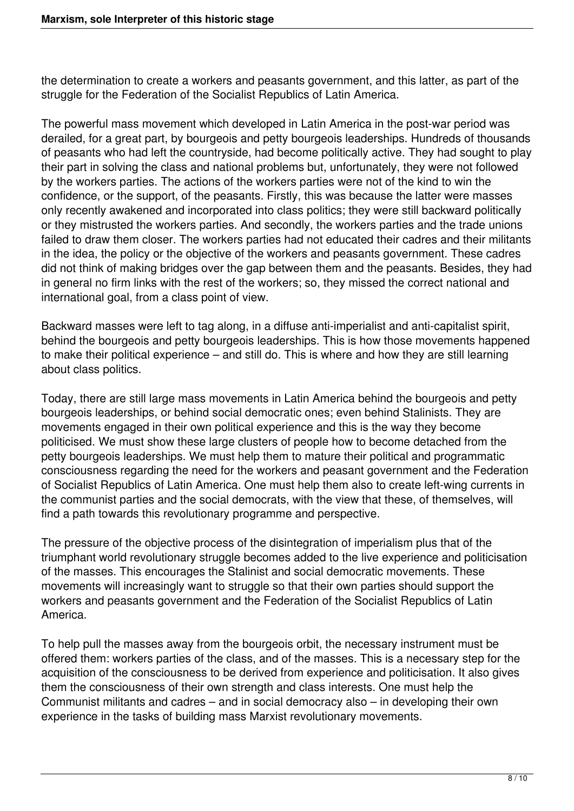the determination to create a workers and peasants government, and this latter, as part of the struggle for the Federation of the Socialist Republics of Latin America.

The powerful mass movement which developed in Latin America in the post-war period was derailed, for a great part, by bourgeois and petty bourgeois leaderships. Hundreds of thousands of peasants who had left the countryside, had become politically active. They had sought to play their part in solving the class and national problems but, unfortunately, they were not followed by the workers parties. The actions of the workers parties were not of the kind to win the confidence, or the support, of the peasants. Firstly, this was because the latter were masses only recently awakened and incorporated into class politics; they were still backward politically or they mistrusted the workers parties. And secondly, the workers parties and the trade unions failed to draw them closer. The workers parties had not educated their cadres and their militants in the idea, the policy or the objective of the workers and peasants government. These cadres did not think of making bridges over the gap between them and the peasants. Besides, they had in general no firm links with the rest of the workers; so, they missed the correct national and international goal, from a class point of view.

Backward masses were left to tag along, in a diffuse anti-imperialist and anti-capitalist spirit, behind the bourgeois and petty bourgeois leaderships. This is how those movements happened to make their political experience – and still do. This is where and how they are still learning about class politics.

Today, there are still large mass movements in Latin America behind the bourgeois and petty bourgeois leaderships, or behind social democratic ones; even behind Stalinists. They are movements engaged in their own political experience and this is the way they become politicised. We must show these large clusters of people how to become detached from the petty bourgeois leaderships. We must help them to mature their political and programmatic consciousness regarding the need for the workers and peasant government and the Federation of Socialist Republics of Latin America. One must help them also to create left-wing currents in the communist parties and the social democrats, with the view that these, of themselves, will find a path towards this revolutionary programme and perspective.

The pressure of the objective process of the disintegration of imperialism plus that of the triumphant world revolutionary struggle becomes added to the live experience and politicisation of the masses. This encourages the Stalinist and social democratic movements. These movements will increasingly want to struggle so that their own parties should support the workers and peasants government and the Federation of the Socialist Republics of Latin America.

To help pull the masses away from the bourgeois orbit, the necessary instrument must be offered them: workers parties of the class, and of the masses. This is a necessary step for the acquisition of the consciousness to be derived from experience and politicisation. It also gives them the consciousness of their own strength and class interests. One must help the Communist militants and cadres – and in social democracy also – in developing their own experience in the tasks of building mass Marxist revolutionary movements.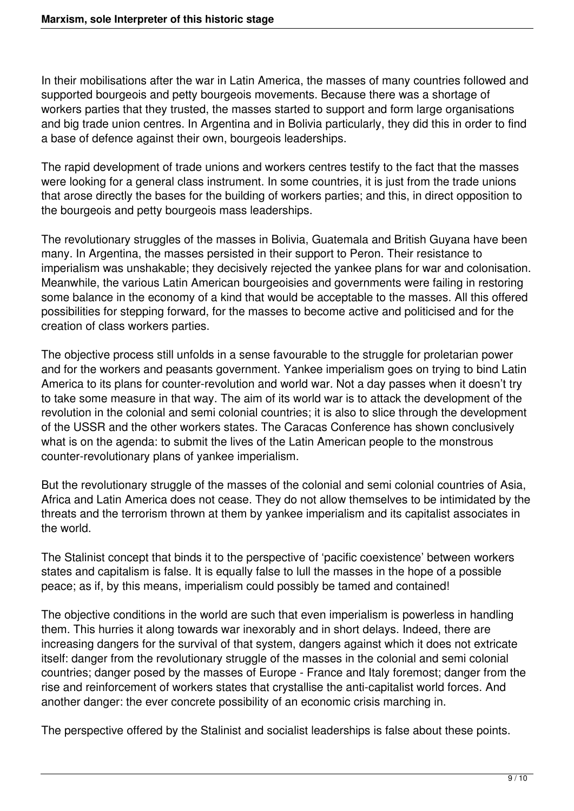In their mobilisations after the war in Latin America, the masses of many countries followed and supported bourgeois and petty bourgeois movements. Because there was a shortage of workers parties that they trusted, the masses started to support and form large organisations and big trade union centres. In Argentina and in Bolivia particularly, they did this in order to find a base of defence against their own, bourgeois leaderships.

The rapid development of trade unions and workers centres testify to the fact that the masses were looking for a general class instrument. In some countries, it is just from the trade unions that arose directly the bases for the building of workers parties; and this, in direct opposition to the bourgeois and petty bourgeois mass leaderships.

The revolutionary struggles of the masses in Bolivia, Guatemala and British Guyana have been many. In Argentina, the masses persisted in their support to Peron. Their resistance to imperialism was unshakable; they decisively rejected the yankee plans for war and colonisation. Meanwhile, the various Latin American bourgeoisies and governments were failing in restoring some balance in the economy of a kind that would be acceptable to the masses. All this offered possibilities for stepping forward, for the masses to become active and politicised and for the creation of class workers parties.

The objective process still unfolds in a sense favourable to the struggle for proletarian power and for the workers and peasants government. Yankee imperialism goes on trying to bind Latin America to its plans for counter-revolution and world war. Not a day passes when it doesn't try to take some measure in that way. The aim of its world war is to attack the development of the revolution in the colonial and semi colonial countries; it is also to slice through the development of the USSR and the other workers states. The Caracas Conference has shown conclusively what is on the agenda: to submit the lives of the Latin American people to the monstrous counter-revolutionary plans of yankee imperialism.

But the revolutionary struggle of the masses of the colonial and semi colonial countries of Asia, Africa and Latin America does not cease. They do not allow themselves to be intimidated by the threats and the terrorism thrown at them by yankee imperialism and its capitalist associates in the world.

The Stalinist concept that binds it to the perspective of 'pacific coexistence' between workers states and capitalism is false. It is equally false to lull the masses in the hope of a possible peace; as if, by this means, imperialism could possibly be tamed and contained!

The objective conditions in the world are such that even imperialism is powerless in handling them. This hurries it along towards war inexorably and in short delays. Indeed, there are increasing dangers for the survival of that system, dangers against which it does not extricate itself: danger from the revolutionary struggle of the masses in the colonial and semi colonial countries; danger posed by the masses of Europe - France and Italy foremost; danger from the rise and reinforcement of workers states that crystallise the anti-capitalist world forces. And another danger: the ever concrete possibility of an economic crisis marching in.

The perspective offered by the Stalinist and socialist leaderships is false about these points.